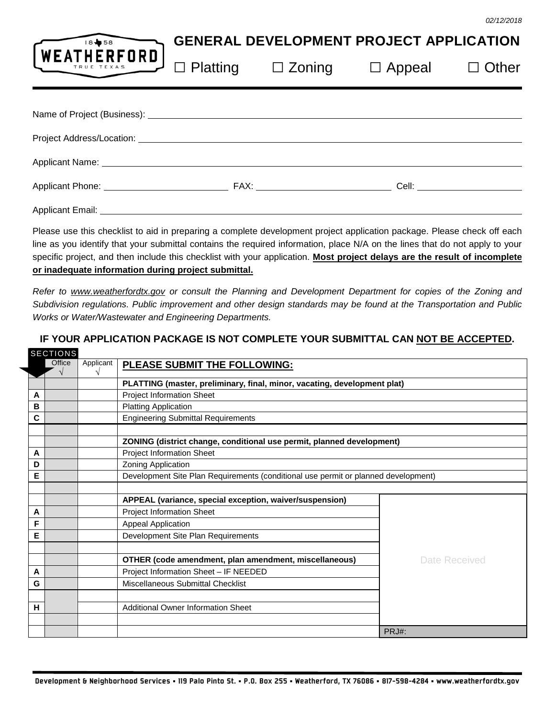| 18 58                                                                                                                   | <b>GENERAL DEVELOPMENT PROJECT APPLICATION</b> |                               |                            |  |  |
|-------------------------------------------------------------------------------------------------------------------------|------------------------------------------------|-------------------------------|----------------------------|--|--|
| LWEATHERFORD                                                                                                            |                                                | $\Box$ Platting $\Box$ Zoning | $\Box$ Appeal $\Box$ Other |  |  |
|                                                                                                                         |                                                |                               |                            |  |  |
| Project Address/Location: National Address of Address Assembly Project Address Assembly                                 |                                                |                               |                            |  |  |
|                                                                                                                         |                                                |                               |                            |  |  |
|                                                                                                                         |                                                |                               |                            |  |  |
|                                                                                                                         |                                                |                               |                            |  |  |
| Please use this checklist to aid in preparing a complete development project application package. Please check off each |                                                |                               |                            |  |  |

Please use this checklist to aid in preparing a complete development project application package. Please check off each line as you identify that your submittal contains the required information, place N/A on the lines that do not apply to your specific project, and then include this checklist with your application. **Most project delays are the result of incomplete or inadequate information during project submittal.**

*Refer to [www.weatherfordtx.gov](http://www.weatherfordtx.gov/) or consult the Planning and Development Department for copies of the Zoning and Subdivision regulations. Public improvement and other design standards may be found at the Transportation and Public Works or Water/Wastewater and Engineering Departments.*

|   | <b>SECTIONS</b> |           |                                                                                    |               |
|---|-----------------|-----------|------------------------------------------------------------------------------------|---------------|
|   | Office          | Applicant | PLEASE SUBMIT THE FOLLOWING:                                                       |               |
|   |                 |           | PLATTING (master, preliminary, final, minor, vacating, development plat)           |               |
| A |                 |           | <b>Project Information Sheet</b>                                                   |               |
| в |                 |           | <b>Platting Application</b>                                                        |               |
| C |                 |           | <b>Engineering Submittal Requirements</b>                                          |               |
|   |                 |           |                                                                                    |               |
|   |                 |           | ZONING (district change, conditional use permit, planned development)              |               |
| A |                 |           | <b>Project Information Sheet</b>                                                   |               |
| D |                 |           | Zoning Application                                                                 |               |
| Е |                 |           | Development Site Plan Requirements (conditional use permit or planned development) |               |
|   |                 |           |                                                                                    |               |
|   |                 |           | APPEAL (variance, special exception, waiver/suspension)                            |               |
| A |                 |           | <b>Project Information Sheet</b>                                                   |               |
| F |                 |           | Appeal Application                                                                 |               |
| Е |                 |           | Development Site Plan Requirements                                                 |               |
|   |                 |           |                                                                                    |               |
| A |                 |           | OTHER (code amendment, plan amendment, miscellaneous)                              | Date Received |
| G |                 |           | Project Information Sheet - IF NEEDED<br>Miscellaneous Submittal Checklist         |               |
|   |                 |           |                                                                                    |               |
| н |                 |           | <b>Additional Owner Information Sheet</b>                                          |               |
|   |                 |           |                                                                                    | PRJ#:         |

# **IF YOUR APPLICATION PACKAGE IS NOT COMPLETE YOUR SUBMITTAL CAN NOT BE ACCEPTED.**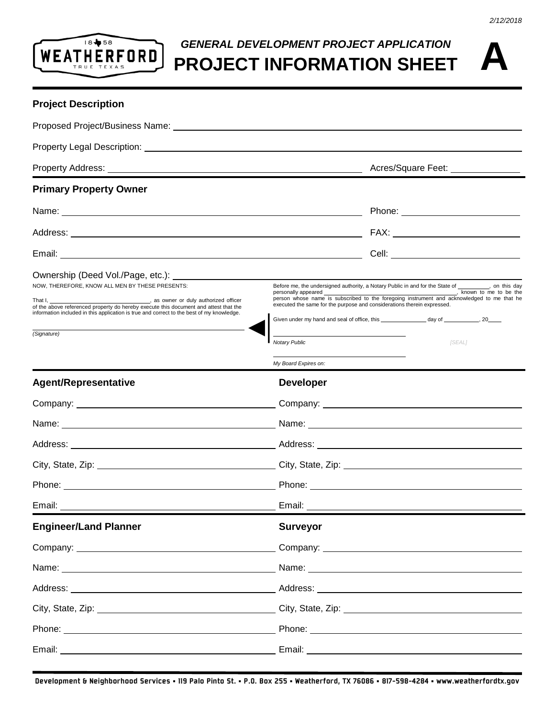

### *GENERAL DEVELOPMENT PROJECT APPLICATION* **PROJECT INFORMATION SHEET**

*2/12/2018*

### **Project Description**

| <b>Primary Property Owner</b>                                                                                                                                                                                                        |                                                                                                                                                                                                                                                                                                                                                                                                                                                                                                                 |  |                                        |  |
|--------------------------------------------------------------------------------------------------------------------------------------------------------------------------------------------------------------------------------------|-----------------------------------------------------------------------------------------------------------------------------------------------------------------------------------------------------------------------------------------------------------------------------------------------------------------------------------------------------------------------------------------------------------------------------------------------------------------------------------------------------------------|--|----------------------------------------|--|
| Name: <u>2000 - 2000 - 2000 - 2000 - 2000 - 2000 - 2000 - 2000 - 2000 - 2000 - 2000 - 2000 - 2000 - 2000 - 2000 - 2000 - 2000 - 2000 - 2000 - 2000 - 2000 - 2000 - 2000 - 2000 - 2000 - 2000 - 2000 - 2000 - 2000 - 2000 - 2000 </u> |                                                                                                                                                                                                                                                                                                                                                                                                                                                                                                                 |  | Phone: <u>________________________</u> |  |
|                                                                                                                                                                                                                                      |                                                                                                                                                                                                                                                                                                                                                                                                                                                                                                                 |  |                                        |  |
|                                                                                                                                                                                                                                      |                                                                                                                                                                                                                                                                                                                                                                                                                                                                                                                 |  |                                        |  |
| Ownership (Deed Vol./Page, etc.): Non-<br>NOW, THEREFORE, KNOW ALL MEN BY THESE PRESENTS:<br>information included in this application is true and correct to the best of my knowledge.<br>(Signature)                                | Before me, the undersigned authority, a Notary Public in and for the State of _________, on this day<br>personally appeared example and the set of the set of the set of the set of the set of the set of the set of the set of the set of the set of the set of the set of the set of the set of the set of the set of the set of the<br>person whose name is subscribed to the foregoing instrument and acknowledged to me that he<br>executed the same for the purpose and considerations therein expressed. |  |                                        |  |
|                                                                                                                                                                                                                                      | Notary Public<br>My Board Expires on:                                                                                                                                                                                                                                                                                                                                                                                                                                                                           |  | [SEAL]                                 |  |
| <b>Agent/Representative</b>                                                                                                                                                                                                          | <b>Developer</b>                                                                                                                                                                                                                                                                                                                                                                                                                                                                                                |  |                                        |  |
|                                                                                                                                                                                                                                      |                                                                                                                                                                                                                                                                                                                                                                                                                                                                                                                 |  |                                        |  |
|                                                                                                                                                                                                                                      |                                                                                                                                                                                                                                                                                                                                                                                                                                                                                                                 |  |                                        |  |
|                                                                                                                                                                                                                                      |                                                                                                                                                                                                                                                                                                                                                                                                                                                                                                                 |  |                                        |  |
|                                                                                                                                                                                                                                      |                                                                                                                                                                                                                                                                                                                                                                                                                                                                                                                 |  |                                        |  |
|                                                                                                                                                                                                                                      |                                                                                                                                                                                                                                                                                                                                                                                                                                                                                                                 |  |                                        |  |
|                                                                                                                                                                                                                                      |                                                                                                                                                                                                                                                                                                                                                                                                                                                                                                                 |  |                                        |  |
| <b>Engineer/Land Planner</b>                                                                                                                                                                                                         | <b>Surveyor</b>                                                                                                                                                                                                                                                                                                                                                                                                                                                                                                 |  |                                        |  |
| Company: Company: Company: Company: Company: Company: Company: Company: Company: Company: Company: Company: Company: Company: Company: Company: Company: Company: Company: Company: Company: Company: Company: Company: Compan       |                                                                                                                                                                                                                                                                                                                                                                                                                                                                                                                 |  |                                        |  |
|                                                                                                                                                                                                                                      |                                                                                                                                                                                                                                                                                                                                                                                                                                                                                                                 |  |                                        |  |
|                                                                                                                                                                                                                                      |                                                                                                                                                                                                                                                                                                                                                                                                                                                                                                                 |  |                                        |  |
|                                                                                                                                                                                                                                      |                                                                                                                                                                                                                                                                                                                                                                                                                                                                                                                 |  |                                        |  |
|                                                                                                                                                                                                                                      |                                                                                                                                                                                                                                                                                                                                                                                                                                                                                                                 |  |                                        |  |
|                                                                                                                                                                                                                                      |                                                                                                                                                                                                                                                                                                                                                                                                                                                                                                                 |  |                                        |  |
|                                                                                                                                                                                                                                      |                                                                                                                                                                                                                                                                                                                                                                                                                                                                                                                 |  |                                        |  |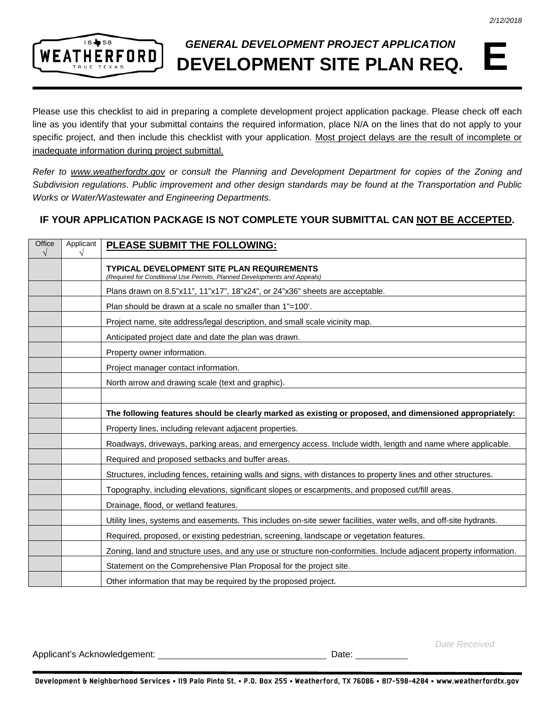

## *GENERAL DEVELOPMENT PROJECT APPLICATION* **DEVELOPMENT SITE PLAN REQ.**

Please use this checklist to aid in preparing a complete development project application package. Please check off each line as you identify that your submittal contains the required information, place N/A on the lines that do not apply to your specific project, and then include this checklist with your application. Most project delays are the result of incomplete or inadequate information during project submittal.

*Refer to [www.weatherfordtx.gov](http://www.weatherfordtx.gov/) or consult the Planning and Development Department for copies of the Zoning and Subdivision regulations. Public improvement and other design standards may be found at the Transportation and Public Works or Water/Wastewater and Engineering Departments.*

#### **IF YOUR APPLICATION PACKAGE IS NOT COMPLETE YOUR SUBMITTAL CAN NOT BE ACCEPTED.**

| Office<br>$\sqrt{}$ | Applicant | <b>PLEASE SUBMIT THE FOLLOWING:</b>                                                                                           |
|---------------------|-----------|-------------------------------------------------------------------------------------------------------------------------------|
|                     |           | <b>TYPICAL DEVELOPMENT SITE PLAN REQUIREMENTS</b><br>(Required for Conditional Use Permits, Planned Developments and Appeals) |
|                     |           | Plans drawn on 8.5"x11", 11"x17", 18"x24", or 24"x36" sheets are acceptable.                                                  |
|                     |           | Plan should be drawn at a scale no smaller than 1"=100'.                                                                      |
|                     |           | Project name, site address/legal description, and small scale vicinity map.                                                   |
|                     |           | Anticipated project date and date the plan was drawn.                                                                         |
|                     |           | Property owner information.                                                                                                   |
|                     |           | Project manager contact information.                                                                                          |
|                     |           | North arrow and drawing scale (text and graphic).                                                                             |
|                     |           |                                                                                                                               |
|                     |           | The following features should be clearly marked as existing or proposed, and dimensioned appropriately:                       |
|                     |           | Property lines, including relevant adjacent properties.                                                                       |
|                     |           | Roadways, driveways, parking areas, and emergency access. Include width, length and name where applicable.                    |
|                     |           | Required and proposed setbacks and buffer areas.                                                                              |
|                     |           | Structures, including fences, retaining walls and signs, with distances to property lines and other structures.               |
|                     |           | Topography, including elevations, significant slopes or escarpments, and proposed cut/fill areas.                             |
|                     |           | Drainage, flood, or wetland features.                                                                                         |
|                     |           | Utility lines, systems and easements. This includes on-site sewer facilities, water wells, and off-site hydrants.             |
|                     |           | Required, proposed, or existing pedestrian, screening, landscape or vegetation features.                                      |
|                     |           | Zoning, land and structure uses, and any use or structure non-conformities. Include adjacent property information.            |
|                     |           | Statement on the Comprehensive Plan Proposal for the project site.                                                            |
|                     |           | Other information that may be required by the proposed project.                                                               |

Applicant's Acknowledgement: Date:

*Date Received*